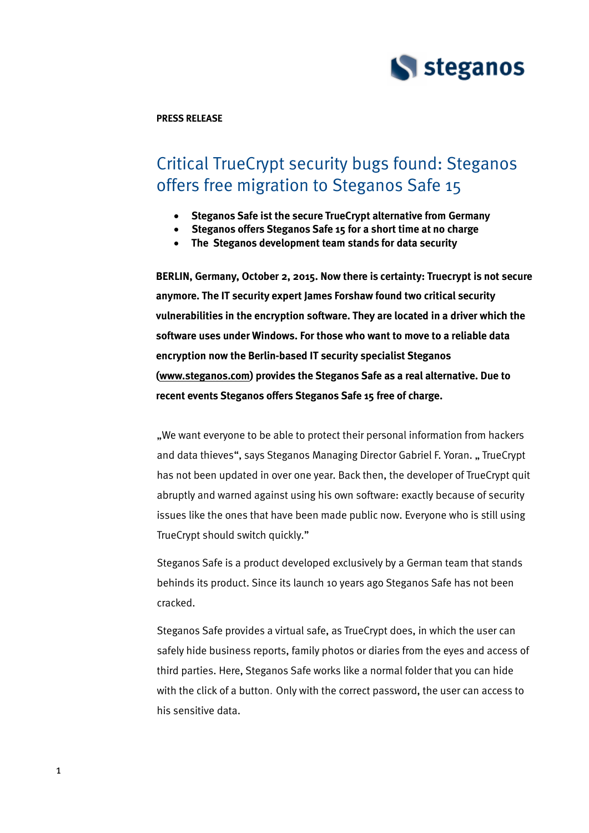

**PRESS RELEASE**

# Critical TrueCrypt security bugs found: Steganos offers free migration to Steganos Safe 15

- **Steganos Safe ist the secure TrueCrypt alternative from Germany**
- **Steganos offers Steganos Safe 15 for a short time at no charge**
- **The Steganos development team stands for data security**

**BERLIN, Germany, October 2, 2015. Now there is certainty: Truecrypt is not secure anymore. The IT security expert James Forshaw found two critical security vulnerabilities in the encryption software. They are located in a driver which the software uses under Windows. For those who want to move to a reliable data encryption now the Berlin-based IT security specialist Steganos [\(www.steganos.com\)](http://www.steganos.com/) provides the Steganos Safe as a real alternative. Due to recent events Steganos offers Steganos Safe 15 free of charge.**

"We want everyone to be able to protect their personal information from hackers and data thieves", says Steganos Managing Director Gabriel F. Yoran. "TrueCrypt has not been updated in over one year. Back then, the developer of TrueCrypt quit abruptly and warned against using his own software: exactly because of security issues like the ones that have been made public now. Everyone who is still using TrueCrypt should switch quickly."

Steganos Safe is a product developed exclusively by a German team that stands behinds its product. Since its launch 10 years ago Steganos Safe has not been cracked.

Steganos Safe provides a virtual safe, as TrueCrypt does, in which the user can safely hide business reports, family photos or diaries from the eyes and access of third parties. Here, Steganos Safe works like a normal folder that you can hide with the click of a button. Only with the correct password, the user can access to his sensitive data.